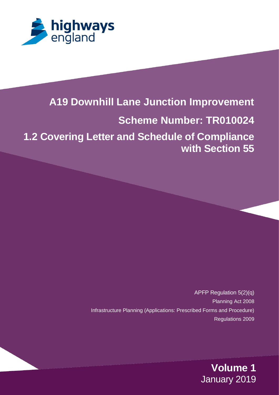

# **A19 Downhill Lane Junction Improvement**

# **Scheme Number: TR010024**

**1.2 Covering Letter and Schedule of Compliance with Section 55**

> APFP Regulation 5(2)(q) Planning Act 2008 Infrastructure Planning (Applications: Prescribed Forms and Procedure) Regulations 2009

> > **Volume 1** January 2019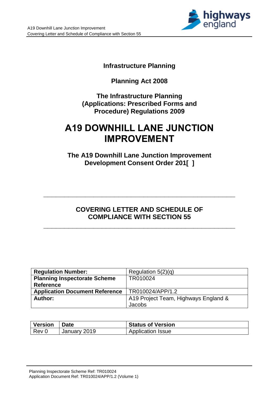

# **Infrastructure Planning**

# **Planning Act 2008**

## **The Infrastructure Planning (Applications: Prescribed Forms and Procedure) Regulations 2009**

# **A19 DOWNHILL LANE JUNCTION IMPROVEMENT**

**The A19 Downhill Lane Junction Improvement Development Consent Order 201[ ]**

# **COVERING LETTER AND SCHEDULE OF COMPLIANCE WITH SECTION 55**

**\_\_\_\_\_\_\_\_\_\_\_\_\_\_\_\_\_\_\_\_\_\_\_\_\_\_\_\_\_\_\_\_\_\_\_\_\_\_\_\_\_\_\_\_\_\_**

**\_\_\_\_\_\_\_\_\_\_\_\_\_\_\_\_\_\_\_\_\_\_\_\_\_\_\_\_\_\_\_\_\_\_\_\_\_\_\_\_\_\_\_\_\_\_**

| <b>Regulation Number:</b>             | Regulation $5(2)(q)$                 |
|---------------------------------------|--------------------------------------|
| <b>Planning Inspectorate Scheme</b>   | TR010024                             |
| <b>Reference</b>                      |                                      |
| <b>Application Document Reference</b> | TR010024/APP/1.2                     |
| Author:                               | A19 Project Team, Highways England & |
|                                       | Jacobs                               |

| <b>Version</b> | ∣ Date       | <b>Status of Version</b> |
|----------------|--------------|--------------------------|
| Rev 0          | January 2019 | <b>Application Issue</b> |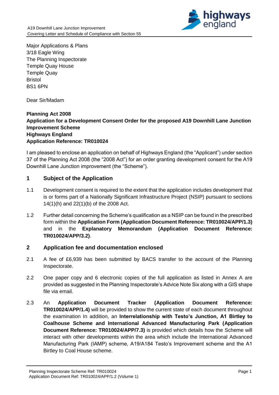

Major Applications & Plans 3/18 Eagle Wing The Planning Inspectorate Temple Quay House Temple Quay Bristol BS1 6PN

Dear Sir/Madam

## **Planning Act 2008 Application for a Development Consent Order for the proposed A19 Downhill Lane Junction Improvement Scheme Highways England Application Reference: TR010024**

I am pleased to enclose an application on behalf of Highways England (the "Applicant") under section 37 of the Planning Act 2008 (the "2008 Act") for an order granting development consent for the A19 Downhill Lane Junction improvement (the "Scheme").

### **1 Subject of the Application**

- 1.1 Development consent is required to the extent that the application includes development that is or forms part of a Nationally Significant Infrastructure Project (NSIP) pursuant to sections 14(1)(h) and 22(1)(b) of the 2008 Act.
- 1.2 Further detail concerning the Scheme's qualification as a NSIP can be found in the prescribed form within the **Application Form (Application Document Reference: TR010024/APP/1.3)** and in the **Explanatory Memorandum (Application Document Reference: TR010024/APP/3.2)**.

#### **2 Application fee and documentation enclosed**

- 2.1 A fee of £6,939 has been submitted by BACS transfer to the account of the Planning Inspectorate.
- 2.2 One paper copy and 6 electronic copies of the full application as listed in Annex A are provided as suggested in the Planning Inspectorate's Advice Note Six along with a GIS shape file via email.
- 2.3 An **Application Document Tracker (Application Document Reference: TR010024/APP/1.4)** will be provided to show the current state of each document throughout the examination In addition, an **Interrelationship with Testo's Junction, A1 Birtley to Coalhouse Scheme and International Advanced Manufacturing Park (Application Document Reference: TR010024/APP/7.3)** is provided which details how the Scheme will interact with other developments within the area which include the International Advanced Manufacturing Park (IAMP) scheme, A19/A184 Testo's Improvement scheme and the A1 Birtley to Coal House scheme.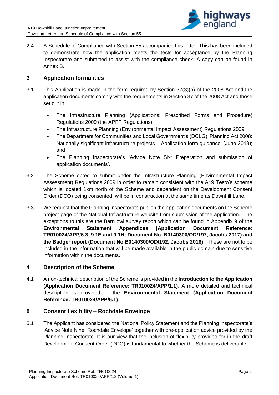

2.4 A Schedule of Compliance with Section 55 accompanies this letter. This has been included to demonstrate how the application meets the tests for acceptance by the Planning Inspectorate and submitted to assist with the compliance check. A copy can be found in Annex B.

## **3 Application formalities**

- 3.1 This Application is made in the form required by Section 37(3)(b) of the 2008 Act and the application documents comply with the requirements in Section 37 of the 2008 Act and those set out in:
	- The Infrastructure Planning (Applications: Prescribed Forms and Procedure) Regulations 2009 (the APFP Regulations);
	- The Infrastructure Planning (Environmental Impact Assessment) Regulations 2009;
	- The Department for Communities and Local Government's (DCLG) 'Planning Act 2008: Nationally significant infrastructure projects – Application form guidance' (June 2013); and
	- The Planning Inspectorate's 'Advice Note Six: Preparation and submission of application documents'.
- 3.2 The Scheme opted to submit under the Infrastructure Planning (Environmental Impact Assessment) Regulations 2009 in order to remain consistent with the A19 Testo's scheme which is located 1km north of the Scheme and dependent on the Development Consent Order (DCO) being consented, will be in construction at the same time as Downhill Lane.
- 3.3 We request that the Planning Inspectorate publish the application documents on the Scheme project page of the National Infrastructure website from submission of the application. The exceptions to this are the Barn owl survey report which can be found in Appendix 9 of the **Environmental Statement Appendices (Application Document Reference: TR010024/APP/6.3, 9.1E and 9.1H; Document No. B0140300/OD/197, Jacobs 2017) and the Badger report (Document No B0140300/OD/192, Jacobs 2016)**. These are not to be included in the information that will be made available in the public domain due to sensitive information within the documents.

#### **4 Description of the Scheme**

4.1 A non-technical description of the Scheme is provided in the **Introduction to the Application (Application Document Reference: TR010024/APP/1.1)**. A more detailed and technical description is provided in the **Environmental Statement (Application Document Reference: TR010024/APP/6.1)**.

#### **5 Consent flexibility – Rochdale Envelope**

5.1 The Applicant has considered the National Policy Statement and the Planning Inspectorate's 'Advice Note Nine: Rochdale Envelope' together with pre-application advice provided by the Planning Inspectorate. It is our view that the inclusion of flexibility provided for in the draft Development Consent Order (DCO) is fundamental to whether the Scheme is deliverable.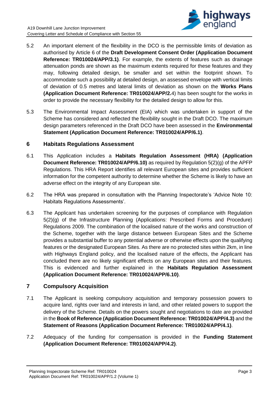

- 5.2 An important element of the flexibility in the DCO is the permissible limits of deviation as authorised by Article 6 of the **Draft Development Consent Order (Application Document Reference: TR010024/APP/3.1)**. For example, the extents of features such as drainage attenuation ponds are shown as the maximum extents required for these features and they may, following detailed design, be smaller and set within the footprint shown. To accommodate such a possibility at detailed design, an assessed envelope with vertical limits of deviation of 0.5 metres and lateral limits of deviation as shown on the **Works Plans (Application Document Reference: TR010024/APP/2.**4) has been sought for the works in order to provide the necessary flexibility for the detailed design to allow for this.
- 5.3 The Environmental Impact Assessment (EIA) which was undertaken in support of the Scheme has considered and reflected the flexibility sought in the Draft DCO. The maximum design parameters referenced in the Draft DCO have been assessed in the **Environmental Statement (Application Document Reference: TR010024/APP/6.1)**.

### **6 Habitats Regulations Assessment**

- 6.1 This Application includes a **Habitats Regulation Assessment (HRA) (Application Document Reference: TR010024/APP/6.10)** as required by Regulation 5(2)(g) of the APFP Regulations. This HRA Report identifies all relevant European sites and provides sufficient information for the competent authority to determine whether the Scheme is likely to have an adverse effect on the integrity of any European site.
- 6.2 The HRA was prepared in consultation with the Planning Inspectorate's 'Advice Note 10: Habitats Regulations Assessments'.
- 6.3 The Applicant has undertaken screening for the purposes of compliance with Regulation 5(2)(g) of the Infrastructure Planning (Applications: Prescribed Forms and Procedure) Regulations 2009. The combination of the localised nature of the works and construction of the Scheme, together with the large distance between European Sites and the Scheme provides a substantial buffer to any potential adverse or otherwise effects upon the qualifying features or the designated European Sites. As there are no protected sites within 2km, in line with Highways England policy, and the localised nature of the effects, the Applicant has concluded there are no likely significant effects on any European sites and their features. This is evidenced and further explained in the **Habitats Regulation Assessment (Application Document Reference: TR010024/APP/6.10)**.

## **7 Compulsory Acquisition**

- 7.1 The Applicant is seeking compulsory acquisition and temporary possession powers to acquire land, rights over land and interests in land, and other related powers to support the delivery of the Scheme. Details on the powers sought and negotiations to date are provided in the **Book of Reference (Application Document Reference: TR010024/APP/4.3)** and the **Statement of Reasons (Application Document Reference: TR010024/APP/4.1)**.
- 7.2 Adequacy of the funding for compensation is provided in the **Funding Statement (Application Document Reference: TR010024/APP/4.2)**.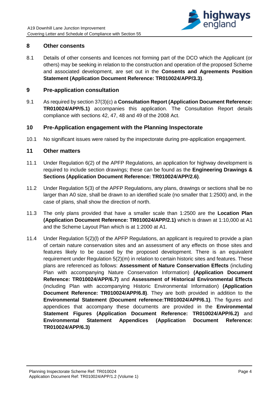

#### **8 Other consents**

8.1 Details of other consents and licences not forming part of the DCO which the Applicant (or others) may be seeking in relation to the construction and operation of the proposed Scheme and associated development, are set out in the **Consents and Agreements Position Statement (Application Document Reference: TR010024/APP/3.3)**.

#### **9 Pre-application consultation**

9.1 As required by section 37(3)(c) a **Consultation Report (Application Document Reference: TR010024/APP/5.1)** accompanies this application. The Consultation Report details compliance with sections 42, 47, 48 and 49 of the 2008 Act.

#### **10 Pre-Application engagement with the Planning Inspectorate**

10.1 No significant issues were raised by the inspectorate during pre-application engagement.

#### **11 Other matters**

- 11.1 Under Regulation 6(2) of the APFP Regulations, an application for highway development is required to include section drawings; these can be found as the **Engineering Drawings & Sections (Application Document Reference: TR010024/APP/2.6)**.
- 11.2 Under Regulation 5(3) of the APFP Regulations, any plans, drawings or sections shall be no larger than A0 size, shall be drawn to an identified scale (no smaller that 1:2500) and, in the case of plans, shall show the direction of north.
- 11.3 The only plans provided that have a smaller scale than 1:2500 are the **Location Plan (Application Document Reference: TR010024/APP/2.1)** which is drawn at 1:10,000 at A1 and the Scheme Layout Plan which is at 1:2000 at A1.
- 11.4 Under Regulation 5(2)(l) of the APFP Regulations, an applicant is required to provide a plan of certain nature conservation sites and an assessment of any effects on those sites and features likely to be caused by the proposed development. There is an equivalent requirement under Regulation 5(2)(m) in relation to certain historic sites and features. These plans are referenced as follows: **Assessment of Nature Conservation Effects** (including Plan with accompanying Nature Conservation Information) **(Application Document Reference: TR010024/APP/6.7)** and **Assessment of Historical Environmental Effects** (including Plan with accompanying Historic Environmental Information) **(Application Document Reference: TR010024/APP/6.8)**. They are both provided in addition to the **Environmental Statement (Document reference:TR010024/APP/6.1)**. The figures and appendices that accompany these documents are provided in the **Environmental Statement Figures (Application Document Reference: TR010024/APP/6.2)** and **Environmental Statement Appendices (Application Document Reference: TR010024/APP/6.3)**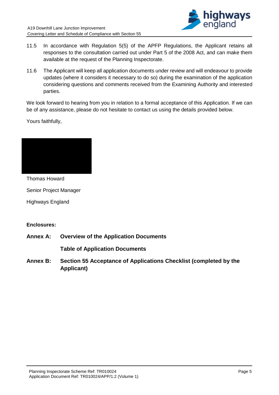

- 11.5 In accordance with Regulation 5(5) of the APFP Regulations, the Applicant retains all responses to the consultation carried out under Part 5 of the 2008 Act, and can make them available at the request of the Planning Inspectorate.
- 11.6 The Applicant will keep all application documents under review and will endeavour to provide updates (where it considers it necessary to do so) during the examination of the application considering questions and comments received from the Examining Authority and interested parties.

We look forward to hearing from you in relation to a formal acceptance of this Application. If we can be of any assistance, please do not hesitate to contact us using the details provided below.

Yours faithfully,



Thomas Howard

Senior Project Manager

Highways England

#### **Enclosures:**

**Annex A: Overview of the Application Documents** 

**Table of Application Documents**

**Annex B: Section 55 Acceptance of Applications Checklist (completed by the Applicant)**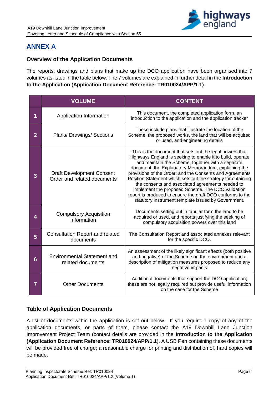

# **ANNEX A**

## **Overview of the Application Documents**

The reports, drawings and plans that make up the DCO application have been organised into 7 volumes as listed in the table below. The 7 volumes are explained in further detail in the **Introduction to the Application (Application Document Reference: TR010024/APP/1.1)**.

|                | <b>VOLUME</b>                                                   | <b>CONTENT</b>                                                                                                                                                                                                                                                                                                                                                                                                                                                                                                                                                                                |
|----------------|-----------------------------------------------------------------|-----------------------------------------------------------------------------------------------------------------------------------------------------------------------------------------------------------------------------------------------------------------------------------------------------------------------------------------------------------------------------------------------------------------------------------------------------------------------------------------------------------------------------------------------------------------------------------------------|
| 1              | Application Information                                         | This document, the completed application form, an<br>introduction to the application and the application tracker                                                                                                                                                                                                                                                                                                                                                                                                                                                                              |
| $\overline{2}$ | Plans/ Drawings/ Sections                                       | These include plans that illustrate the location of the<br>Scheme, the proposed works, the land that will be acquired<br>or used, and engineering details                                                                                                                                                                                                                                                                                                                                                                                                                                     |
| 3              | <b>Draft Development Consent</b><br>Order and related documents | This is the document that sets out the legal powers that<br>Highways England is seeking to enable it to build, operate<br>and maintain the Scheme, together with a separate<br>document, the Explanatory Memorandum, explaining the<br>provisions of the Order; and the Consents and Agreements<br>Position Statement which sets out the strategy for obtaining<br>the consents and associated agreements needed to<br>implement the proposed Scheme. The DCO validation<br>report is produced to ensure the draft DCO conforms to the<br>statutory instrument template issued by Government. |
| 4              | <b>Compulsory Acquisition</b><br>Information                    | Documents setting out in tabular form the land to be<br>acquired or used, and reports justifying the seeking of<br>compulsory acquisition powers over this land                                                                                                                                                                                                                                                                                                                                                                                                                               |
| 5              | <b>Consultation Report and related</b><br>documents             | The Consultation Report and associated annexes relevant<br>for the specific DCO.                                                                                                                                                                                                                                                                                                                                                                                                                                                                                                              |
| 6              | <b>Environmental Statement and</b><br>related documents         | An assessment of the likely significant effects (both positive<br>and negative) of the Scheme on the environment and a<br>description of mitigation measures proposed to reduce any<br>negative impacts                                                                                                                                                                                                                                                                                                                                                                                       |
| 7              | <b>Other Documents</b>                                          | Additional documents that support the DCO application;<br>these are not legally required but provide useful information<br>on the case for the Scheme                                                                                                                                                                                                                                                                                                                                                                                                                                         |

## **Table of Application Documents**

A list of documents within the application is set out below. If you require a copy of any of the application documents, or parts of them, please contact the A19 Downhill Lane Junction Improvement Project Team (contact details are provided in the **Introduction to the Application (Application Document Reference: TR010024/APP/1.1**). A USB Pen containing these documents will be provided free of charge; a reasonable charge for printing and distribution of, hard copies will be made.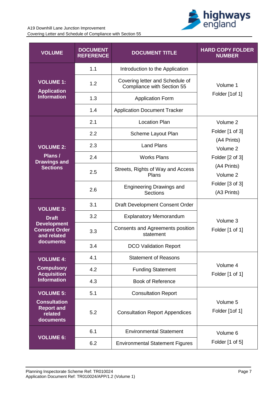

## A19 Downhill Lane Junction Improvement

Covering Letter and Schedule of Compliance with Section 55

| <b>VOLUME</b>                                                    | <b>DOCUMENT</b><br><b>REFERENCE</b> | <b>DOCUMENT TITLE</b>                                         | <b>HARD COPY FOLDER</b><br><b>NUMBER</b> |  |
|------------------------------------------------------------------|-------------------------------------|---------------------------------------------------------------|------------------------------------------|--|
|                                                                  | 1.1                                 | Introduction to the Application                               |                                          |  |
| <b>VOLUME 1:</b><br><b>Application</b>                           | 1.2                                 | Covering letter and Schedule of<br>Compliance with Section 55 | Volume 1                                 |  |
| <b>Information</b>                                               | 1.3                                 | <b>Application Form</b>                                       | Folder [1of 1]                           |  |
|                                                                  | 1.4                                 | <b>Application Document Tracker</b>                           |                                          |  |
|                                                                  | 2.1                                 | <b>Location Plan</b>                                          | Volume 2                                 |  |
|                                                                  | 2.2                                 | Scheme Layout Plan                                            | Folder [1 of 3]                          |  |
| <b>VOLUME 2:</b>                                                 | 2.3                                 | <b>Land Plans</b>                                             | (A4 Prints)<br>Volume 2                  |  |
| Plans /<br><b>Drawings and</b>                                   | 2.4                                 | <b>Works Plans</b>                                            | Folder [2 of 3]                          |  |
| <b>Sections</b>                                                  | 2.5                                 | Streets, Rights of Way and Access<br>Plans                    | (A4 Prints)<br>Volume 2                  |  |
|                                                                  | 2.6                                 | <b>Engineering Drawings and</b><br><b>Sections</b>            | Folder [3 of 3]<br>(A3 Prints)           |  |
| <b>VOLUME 3:</b>                                                 | 3.1                                 | Draft Development Consent Order                               |                                          |  |
| <b>Draft</b>                                                     | 3.2                                 | <b>Explanatory Memorandum</b>                                 | Volume 3                                 |  |
| <b>Development</b><br><b>Consent Order</b><br>and related        | 3.3                                 | Consents and Agreements position<br>statement                 | Folder [1 of 1]                          |  |
| documents                                                        | 3.4                                 | <b>DCO Validation Report</b>                                  |                                          |  |
| <b>VOLUME 4:</b>                                                 | 4.1                                 | <b>Statement of Reasons</b>                                   |                                          |  |
| <b>Compulsory</b><br><b>Acquisition</b>                          | 4.2                                 | <b>Funding Statement</b>                                      | Volume 4<br>Folder [1 of 1]              |  |
| <b>Information</b>                                               | 4.3                                 | <b>Book of Reference</b>                                      |                                          |  |
| <b>VOLUME 5:</b>                                                 | 5.1                                 | <b>Consultation Report</b>                                    |                                          |  |
| <b>Consultation</b><br><b>Report and</b><br>related<br>documents | 5.2                                 | <b>Consultation Report Appendices</b>                         | Volume 5<br>Folder [1of 1]               |  |
|                                                                  | 6.1                                 | <b>Environmental Statement</b>                                | Volume 6                                 |  |
| <b>VOLUME 6:</b>                                                 | 6.2                                 | <b>Environmental Statement Figures</b>                        | Folder [1 of 5]                          |  |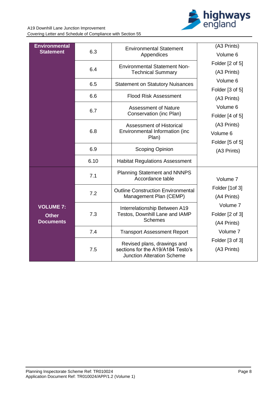

A19 Downhill Lane Junction Improvement Covering Letter and Schedule of Compliance with Section 55

| <b>Environmental</b><br><b>Statement</b>             | 6.3  | <b>Environmental Statement</b><br>Appendices                                                          | (A3 Prints)<br>Volume 6                    |
|------------------------------------------------------|------|-------------------------------------------------------------------------------------------------------|--------------------------------------------|
|                                                      | 6.4  | <b>Environmental Statement Non-</b><br><b>Technical Summary</b>                                       | Folder [2 of 5]<br>(A3 Prints)             |
|                                                      | 6.5  | <b>Statement on Statutory Nuisances</b>                                                               | Volume 6<br>Folder [3 of 5]                |
|                                                      | 6.6  | <b>Flood Risk Assessment</b>                                                                          | (A3 Prints)                                |
|                                                      | 6.7  | <b>Assessment of Nature</b><br>Conservation (inc Plan)                                                | Volume 6<br>Folder [4 of 5]                |
|                                                      | 6.8  | Assessment of Historical<br>Environmental Information (inc<br>Plan)                                   | (A3 Prints)<br>Volume 6<br>Folder [5 of 5] |
|                                                      | 6.9  | Scoping Opinion                                                                                       | (A3 Prints)                                |
|                                                      | 6.10 | <b>Habitat Regulations Assessment</b>                                                                 |                                            |
|                                                      | 7.1  | <b>Planning Statement and NNNPS</b><br>Accordance table                                               | Volume 7                                   |
|                                                      | 7.2  | <b>Outline Construction Environmental</b><br>Management Plan (CEMP)                                   | Folder [1of 3]<br>(A4 Prints)              |
| <b>VOLUME 7:</b><br><b>Other</b><br><b>Documents</b> | 7.3  | Interrelationship Between A19<br>Testos, Downhill Lane and IAMP<br><b>Schemes</b>                     | Volume 7<br>Folder [2 of 3]<br>(A4 Prints) |
|                                                      | 7.4  | <b>Transport Assessment Report</b>                                                                    | Volume 7                                   |
|                                                      | 7.5  | Revised plans, drawings and<br>sections for the A19/A184 Testo's<br><b>Junction Alteration Scheme</b> | Folder [3 of 3]<br>(A3 Prints)             |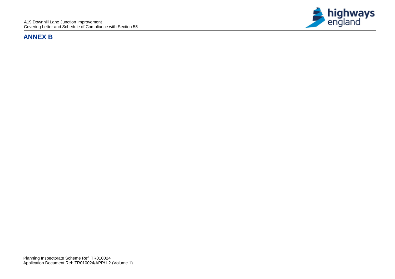# **ANNEX B**

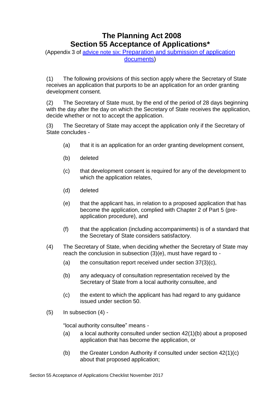# **The Planning Act 2008 Section 55 Acceptance of Applications\***

(Appendix 3 of advice note six: [Preparation](http://infrastructure.planningportal.gov.uk/legislation-and-advice/advice-notes/) and submission of application [documents\)](http://infrastructure.planningportal.gov.uk/legislation-and-advice/advice-notes/)

(1) The following provisions of this section apply where the Secretary of State receives an application that purports to be an application for an order granting development consent.

(2) The Secretary of State must, by the end of the period of 28 days beginning with the day after the day on which the Secretary of State receives the application, decide whether or not to accept the application.

(3) The Secretary of State may accept the application only if the Secretary of State concludes -

- (a) that it is an application for an order granting development consent,
- (b) deleted
- (c) that development consent is required for any of the development to which the application relates,
- (d) deleted
- (e) that the applicant has, in relation to a proposed application that has become the application, complied with Chapter 2 of Part 5 (preapplication procedure), and
- (f) that the application (including accompaniments) is of a standard that the Secretary of State considers satisfactory.
- (4) The Secretary of State, when deciding whether the Secretary of State may reach the conclusion in subsection (3)(e), must have regard to -
	- (a) the consultation report received under section  $37(3)(c)$ ,
	- (b) any adequacy of consultation representation received by the Secretary of State from a local authority consultee, and
	- (c) the extent to which the applicant has had regard to any guidance issued under section 50.
- (5) In subsection (4) -

"local authority consultee" means -

- (a) a local authority consulted under section  $42(1)(b)$  about a proposed application that has become the application, or
- (b) the Greater London Authority if consulted under section  $42(1)(c)$ about that proposed application;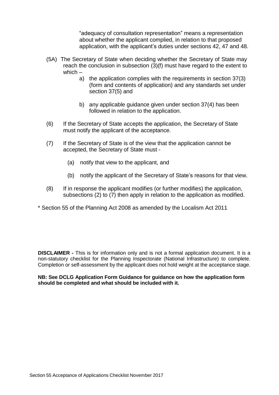"adequacy of consultation representation" means a representation about whether the applicant complied, in relation to that proposed application, with the applicant's duties under sections 42, 47 and 48.

- (5A) The Secretary of State when deciding whether the Secretary of State may reach the conclusion in subsection (3)(f) must have regard to the extent to which –
	- a) the application complies with the requirements in section 37(3) (form and contents of application) and any standards set under section 37(5) and
	- b) any applicable guidance given under section 37(4) has been followed in relation to the application.
- (6) If the Secretary of State accepts the application, the Secretary of State must notify the applicant of the acceptance.
- (7) If the Secretary of State is of the view that the application cannot be accepted, the Secretary of State must -
	- (a) notify that view to the applicant, and
	- (b) notify the applicant of the Secretary of State's reasons for that view.
- (8) If in response the applicant modifies (or further modifies) the application, subsections (2) to (7) then apply in relation to the application as modified.
- \* Section 55 of the Planning Act 2008 as amended by the Localism Act 2011

**DISCLAIMER -** This is for information only and is not a formal application document. It is a non-statutory checklist for the Planning Inspectorate (National Infrastructure) to complete. Completion or self-assessment by the applicant does not hold weight at the acceptance stage.

**NB: See DCLG Application Form Guidance for guidance on how the application form should be completed and what should be included with it.**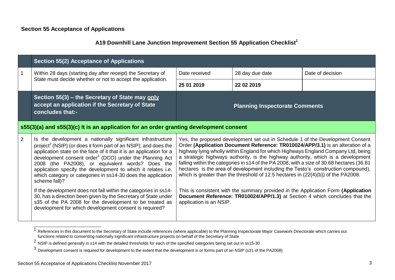#### **Section 55 Acceptance of Applications**

## **A19 Downhill Lane Junction Improvement Section 55 Application Checklist<sup>1</sup>**

|   | <b>Section 55(2) Acceptance of Applications</b>                                                                                                                                                                                                                                                                                                                                                                                                                                              |                                                                                                                                                                                                                                                                                                                                                                                                                                                                                                                                                                                                                  |                                       |                                                                                                                                                                  |  |
|---|----------------------------------------------------------------------------------------------------------------------------------------------------------------------------------------------------------------------------------------------------------------------------------------------------------------------------------------------------------------------------------------------------------------------------------------------------------------------------------------------|------------------------------------------------------------------------------------------------------------------------------------------------------------------------------------------------------------------------------------------------------------------------------------------------------------------------------------------------------------------------------------------------------------------------------------------------------------------------------------------------------------------------------------------------------------------------------------------------------------------|---------------------------------------|------------------------------------------------------------------------------------------------------------------------------------------------------------------|--|
| 1 | Within 28 days (starting day after receipt) the Secretary of                                                                                                                                                                                                                                                                                                                                                                                                                                 | Date received                                                                                                                                                                                                                                                                                                                                                                                                                                                                                                                                                                                                    | 28 day due date                       | Date of decision                                                                                                                                                 |  |
|   | State must decide whether or not to accept the application.                                                                                                                                                                                                                                                                                                                                                                                                                                  | 25 01 2019                                                                                                                                                                                                                                                                                                                                                                                                                                                                                                                                                                                                       | 22 02 2019                            |                                                                                                                                                                  |  |
|   | Section 55(3) – the Secretary of State may only<br>accept an application if the Secretary of State<br>concludes that:-                                                                                                                                                                                                                                                                                                                                                                       |                                                                                                                                                                                                                                                                                                                                                                                                                                                                                                                                                                                                                  | <b>Planning Inspectorate Comments</b> |                                                                                                                                                                  |  |
|   | s55(3)(a) and s55(3)(c) It is an application for an order granting development consent                                                                                                                                                                                                                                                                                                                                                                                                       |                                                                                                                                                                                                                                                                                                                                                                                                                                                                                                                                                                                                                  |                                       |                                                                                                                                                                  |  |
| 2 | Is the development a nationally significant infrastructure<br>project <sup>2</sup> (NSIP) (or does it form part of an NSIP); and does the<br>application state on the face of it that it is an application for a<br>development consent order <sup>3</sup> (DCO) under the Planning Act<br>2008 (the PA2008), or equivalent words? Does the<br>application specify the development to which it relates i.e.<br>which category or categories in ss14-30 does the application<br>scheme fall)? | Yes, the proposed development set out in Schedule 1 of the Development Consent<br>Order (Application Document Reference: TR010024/APP/3.1) is an alteration of a<br>highway lying wholly within England for which Highways England Company Ltd, being<br>a strategic highways authority, is the highway authority, which is a development<br>falling within the categories in s14 of the PA 2008, with a size of 30.68 hectares (36.81<br>hectares is the area of development including the Testo's construction compound),<br>which is greater than the threshold of 12.5 hectares in (22(4)(b)) of the PA2008. |                                       |                                                                                                                                                                  |  |
|   | If the development does not fall within the categories in ss14-<br>30, has a direction been given by the Secretary of State under<br>s35 of the PA 2008 for the development to be treated as<br>development for which development consent is required?                                                                                                                                                                                                                                       | application is an NSIP.                                                                                                                                                                                                                                                                                                                                                                                                                                                                                                                                                                                          |                                       | This is consistent with the summary provided in the Application Form (Application<br>Document Reference: TR010024/APP/1.3) at Section 4 which concludes that the |  |

<sup>&</sup>lt;sup>1</sup> References in this document to the Secretary of State include references (where applicable) to the Planning Inspectorate Major Casework Directorate which carries out functions related to consenting nationally significant infrastructure projects on behalf of the Secretary of State

<sup>2</sup> NSIP is defined generally in s14 with the detailed thresholds for each of the specified categories being set out in ss15-30

<sup>&</sup>lt;sup>3</sup> Development consent is required for development to the extent that the development is or forms part of an NSIP (s31 of the PA2008)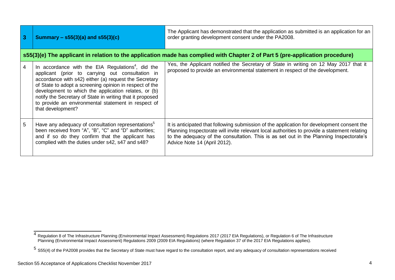| 3  | Summary – $s55(3)(a)$ and $s55(3)(c)$                                                                                                                                                                                                                                                                                                                                                                                                  | The Applicant has demonstrated that the application as submitted is an application for an<br>order granting development consent under the PA2008.                                                                                                                                                                    |
|----|----------------------------------------------------------------------------------------------------------------------------------------------------------------------------------------------------------------------------------------------------------------------------------------------------------------------------------------------------------------------------------------------------------------------------------------|----------------------------------------------------------------------------------------------------------------------------------------------------------------------------------------------------------------------------------------------------------------------------------------------------------------------|
|    |                                                                                                                                                                                                                                                                                                                                                                                                                                        | s55(3)(e) The applicant in relation to the application made has complied with Chapter 2 of Part 5 (pre-application procedure)                                                                                                                                                                                        |
| 4  | In accordance with the EIA Regulations <sup>4</sup> , did the<br>applicant (prior to carrying out consultation in<br>accordance with s42) either (a) request the Secretary<br>of State to adopt a screening opinion in respect of the<br>development to which the application relates, or (b)<br>notify the Secretary of State in writing that it proposed<br>to provide an environmental statement in respect of<br>that development? | Yes, the Applicant notified the Secretary of State in writing on 12 May 2017 that it<br>proposed to provide an environmental statement in respect of the development.                                                                                                                                                |
| 5. | Have any adequacy of consultation representations <sup>3</sup><br>been received from "A", "B", "C" and "D" authorities;<br>and if so do they confirm that the applicant has<br>complied with the duties under s42, s47 and s48?                                                                                                                                                                                                        | It is anticipated that following submission of the application for development consent the<br>Planning Inspectorate will invite relevant local authorities to provide a statement relating<br>to the adequacy of the consultation. This is as set out in the Planning Inspectorate's<br>Advice Note 14 (April 2012). |

<sup>&</sup>lt;sup>4</sup> Regulation 8 of The Infrastructure Planning (Environmental Impact Assessment) Regulations 2017 (2017 EIA Regulations), or Regulation 6 of The Infrastructure Planning (Environmental Impact Assessment) Regulations 2009 (2009 EIA Regulations) (where Regulation 37 of the 2017 EIA Regulations applies).

 $5$  S55(4) of the PA2008 provides that the Secretary of State must have regard to the consultation report, and any adequacy of consultation representations received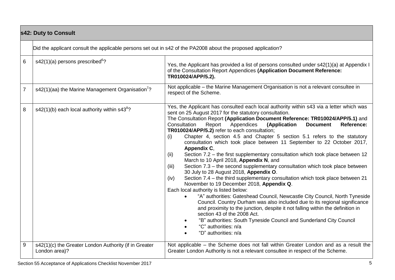|                | s42: Duty to Consult                                                                                          |                                                                                                                                                                                                                                                                                                                                                                                                                                                                                                                                                                                                                                                                                                                                                                                                                                                                                                                                                                                                                                                                                                                                                                                                                                                                                                                                                                                                                                    |  |  |  |
|----------------|---------------------------------------------------------------------------------------------------------------|------------------------------------------------------------------------------------------------------------------------------------------------------------------------------------------------------------------------------------------------------------------------------------------------------------------------------------------------------------------------------------------------------------------------------------------------------------------------------------------------------------------------------------------------------------------------------------------------------------------------------------------------------------------------------------------------------------------------------------------------------------------------------------------------------------------------------------------------------------------------------------------------------------------------------------------------------------------------------------------------------------------------------------------------------------------------------------------------------------------------------------------------------------------------------------------------------------------------------------------------------------------------------------------------------------------------------------------------------------------------------------------------------------------------------------|--|--|--|
|                | Did the applicant consult the applicable persons set out in s42 of the PA2008 about the proposed application? |                                                                                                                                                                                                                                                                                                                                                                                                                                                                                                                                                                                                                                                                                                                                                                                                                                                                                                                                                                                                                                                                                                                                                                                                                                                                                                                                                                                                                                    |  |  |  |
| 6              | $s42(1)(a)$ persons prescribed <sup>6</sup> ?                                                                 | Yes, the Applicant has provided a list of persons consulted under s42(1)(a) at Appendix I<br>of the Consultation Report Appendices (Application Document Reference:<br>TR010024/APP/5.2).                                                                                                                                                                                                                                                                                                                                                                                                                                                                                                                                                                                                                                                                                                                                                                                                                                                                                                                                                                                                                                                                                                                                                                                                                                          |  |  |  |
| $\overline{7}$ | s42(1)(aa) the Marine Management Organisation <sup>7</sup> ?                                                  | Not applicable – the Marine Management Organisation is not a relevant consultee in<br>respect of the Scheme.                                                                                                                                                                                                                                                                                                                                                                                                                                                                                                                                                                                                                                                                                                                                                                                                                                                                                                                                                                                                                                                                                                                                                                                                                                                                                                                       |  |  |  |
| 8              | $s42(1)(b)$ each local authority within $s438$ ?                                                              | Yes, the Applicant has consulted each local authority within s43 via a letter which was<br>sent on 25 August 2017 for the statutory consultation.<br>The Consultation Report (Application Document Reference: TR010024/APP/5.1) and<br>Consultation<br>Report<br>Appendices<br>(Application<br><b>Document</b><br>Reference:<br>TR010024/APP/5.2) refer to each consultation;<br>Chapter 4, section 4.5 and Chapter 5 section 5.1 refers to the statutory<br>(i)<br>consultation which took place between 11 September to 22 October 2017,<br>Appendix C,<br>Section 7.2 - the first supplementary consultation which took place between 12<br>(ii)<br>March to 10 April 2018, Appendix N, and<br>Section 7.3 - the second supplementary consultation which took place between<br>(iii)<br>30 July to 28 August 2018, Appendix O.<br>Section 7.4 - the third supplementary consultation which took place between 21<br>(iv)<br>November to 19 December 2018, Appendix Q.<br>Each local authority is listed below:<br>"A" authorities: Gateshead Council, Newcastle City Council, North Tyneside<br>Council. Country Durham was also included due to its regional significance<br>and proximity to the junction, despite it not falling within the definition in<br>section 43 of the 2008 Act.<br>"B" authorities: South Tyneside Council and Sunderland City Council<br>$\bullet$<br>"C" authorities: n/a<br>"D" authorities: n/a |  |  |  |
| 9              | s42(1)(c) the Greater London Authority (if in Greater<br>London area)?                                        | Not applicable – the Scheme does not fall within Greater London and as a result the<br>Greater London Authority is not a relevant consultee in respect of the Scheme.                                                                                                                                                                                                                                                                                                                                                                                                                                                                                                                                                                                                                                                                                                                                                                                                                                                                                                                                                                                                                                                                                                                                                                                                                                                              |  |  |  |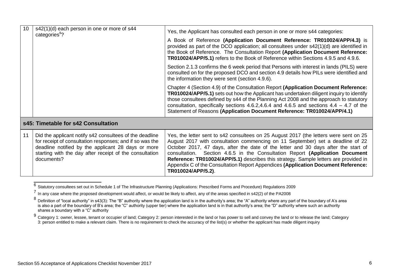| 10                                  | s42(1)(d) each person in one or more of s44<br>categories <sup>9</sup> ?                                                                                                                                                                           | Yes, the Applicant has consulted each person in one or more s44 categories:<br>A Book of Reference (Application Document Reference: TR010024/APP/4.3) is<br>provided as part of the DCO application; all consultees under s42(1)(d) are identified in<br>the Book of Reference. The Consultation Report (Application Document Reference:<br>TR010024/APP/5.1) refers to the Book of Reference within Sections 4.9.5 and 4.9.6.                                                                                                                      |
|-------------------------------------|----------------------------------------------------------------------------------------------------------------------------------------------------------------------------------------------------------------------------------------------------|-----------------------------------------------------------------------------------------------------------------------------------------------------------------------------------------------------------------------------------------------------------------------------------------------------------------------------------------------------------------------------------------------------------------------------------------------------------------------------------------------------------------------------------------------------|
|                                     |                                                                                                                                                                                                                                                    | Section 2.1.3 confirms the 6 week period that Persons with interest in lands (PILS) were<br>consulted on for the proposed DCO and section 4.9 details how PILs were identified and<br>the information they were sent (section 4.9.6).                                                                                                                                                                                                                                                                                                               |
|                                     |                                                                                                                                                                                                                                                    | Chapter 4 (Section 4.9) of the Consultation Report (Application Document Reference:<br>TR010024/APP/5.1) sets out how the Applicant has undertaken diligent inquiry to identify<br>those consultees defined by s44 of the Planning Act 2008 and the approach to statutory<br>consultation, specifically sections 4.6.2,4.6.4 and 4.6.5 and sections $4.4 - 4.7$ of the<br>Statement of Reasons (Application Document Reference: TR010024/APP/4.1)                                                                                                   |
| s45: Timetable for s42 Consultation |                                                                                                                                                                                                                                                    |                                                                                                                                                                                                                                                                                                                                                                                                                                                                                                                                                     |
| 11                                  | Did the applicant notify s42 consultees of the deadline<br>for receipt of consultation responses; and if so was the<br>deadline notified by the applicant 28 days or more<br>starting with the day after receipt of the consultation<br>documents? | Yes, the letter sent to s42 consultees on 25 August 2017 (the letters were sent on 25<br>August 2017 with consultation commencing on 11 September) set a deadline of 22<br>October 2017, 47 days, after the date of the letter and 30 days after the start of<br>Section 4.6.5 in the Consultation Report (Application Document<br>consultation.<br>Reference: TR010024/APP/5.1) describes this strategy. Sample letters are provided in<br>Appendix C of the Consultation Report Appendices (Application Document Reference:<br>TR010024/APP/5.2). |

 $6$  Statutory consultees set out in Schedule 1 of The Infrastructure Planning (Applications: Prescribed Forms and Procedure) Regulations 2009

<sup>7</sup> In any case where the proposed development would affect, or would be likely to affect, any of the areas specified in s42(2) of the PA2008

 $8$  Definition of "local authority" in s43(3): The "B" authority where the application land is in the authority's area; the "A" authority where any part of the boundary of A's area is also a part of the boundary of B's area; the "C" authority (upper tier) where the application land is in that authority's area; the "D" authority where such an authority shares a boundary with a "C" authority

<sup>9</sup> Category 1: owner, lessee, tenant or occupier of land; Category 2: person interested in the land or has power to sell and convey the land or to release the land; Category 3: person entitled to make a relevant claim. There is no requirement to check the accuracy of the list(s) or whether the applicant has made diligent inquiry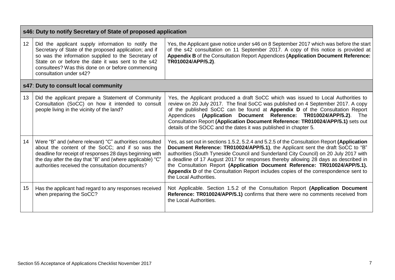|    | s46: Duty to notify Secretary of State of proposed application                                                                                                                                                                                                                                            |                                                                                                                                                                                                                                                                                                                                                                                                                                                                                                                                                               |  |  |  |
|----|-----------------------------------------------------------------------------------------------------------------------------------------------------------------------------------------------------------------------------------------------------------------------------------------------------------|---------------------------------------------------------------------------------------------------------------------------------------------------------------------------------------------------------------------------------------------------------------------------------------------------------------------------------------------------------------------------------------------------------------------------------------------------------------------------------------------------------------------------------------------------------------|--|--|--|
| 12 | Did the applicant supply information to notify the<br>Secretary of State of the proposed application; and if<br>so was the information supplied to the Secretary of<br>State on or before the date it was sent to the s42<br>consultees? Was this done on or before commencing<br>consultation under s42? | Yes, the Applicant gave notice under s46 on 8 September 2017 which was before the start<br>of the s42 consultation on 11 September 2017. A copy of this notice is provided at<br>Appendix B of the Consultation Report Appendices (Application Document Reference:<br>TR010024/APP/5.2).                                                                                                                                                                                                                                                                      |  |  |  |
|    | s47: Duty to consult local community                                                                                                                                                                                                                                                                      |                                                                                                                                                                                                                                                                                                                                                                                                                                                                                                                                                               |  |  |  |
| 13 | Did the applicant prepare a Statement of Community<br>Consultation (SoCC) on how it intended to consult<br>people living in the vicinity of the land?                                                                                                                                                     | Yes, the Applicant produced a draft SoCC which was issued to Local Authorities to<br>review on 20 July 2017. The final SoCC was published on 4 September 2017. A copy<br>of the published SoCC can be found at Appendix D of the Consultation Report<br>Appendices (Application Document Reference: TR010024/APP/5.2). The<br>Consultation Report (Application Document Reference: TR010024/APP/5.1) sets out<br>details of the SOCC and the dates it was published in chapter 5.                                                                             |  |  |  |
| 14 | Were "B" and (where relevant) "C" authorities consulted<br>about the content of the SoCC; and if so was the<br>deadline for receipt of responses 28 days beginning with<br>the day after the day that "B" and (where applicable) "C"<br>authorities received the consultation documents?                  | Yes, as set out in sections 1.5.2, 5.2.4 and 5.2.5 of the Consultation Report (Application<br>Document Reference: TR010024/APP/5.1), the Applicant sent the draft SoCC to "B"<br>authorities (South Tyneside Council and Sunderland City Council) on 20 July 2017 with<br>a deadline of 17 August 2017 for responses thereby allowing 28 days as described in<br>the Consultation Report (Application Document Reference: TR010024/APP/5.1).<br>Appendix D of the Consultation Report includes copies of the correspondence sent to<br>the Local Authorities. |  |  |  |
| 15 | Has the applicant had regard to any responses received<br>when preparing the SoCC?                                                                                                                                                                                                                        | Not Applicable. Section 1.5.2 of the Consultation Report (Application Document<br>Reference: TR010024/APP/5.1) confirms that there were no comments received from<br>the Local Authorities.                                                                                                                                                                                                                                                                                                                                                                   |  |  |  |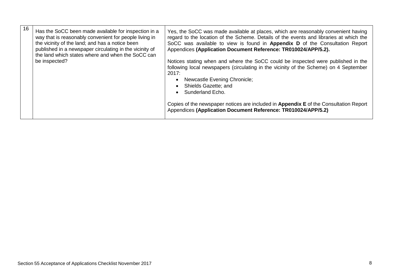| 16<br>Has the SoCC been made available for inspection in a<br>way that is reasonably convenient for people living in<br>the vicinity of the land; and has a notice been<br>published in a newspaper circulating in the vicinity of<br>the land which states where and when the SoCC can | Yes, the SoCC was made available at places, which are reasonably convenient having<br>regard to the location of the Scheme. Details of the events and libraries at which the<br>SoCC was available to view is found in Appendix D of the Consultation Report<br>Appendices (Application Document Reference: TR010024/APP/5.2).                                                                                           |
|-----------------------------------------------------------------------------------------------------------------------------------------------------------------------------------------------------------------------------------------------------------------------------------------|--------------------------------------------------------------------------------------------------------------------------------------------------------------------------------------------------------------------------------------------------------------------------------------------------------------------------------------------------------------------------------------------------------------------------|
| be inspected?                                                                                                                                                                                                                                                                           | Notices stating when and where the SoCC could be inspected were published in the<br>following local newspapers (circulating in the vicinity of the Scheme) on 4 September<br>2017:<br>Newcastle Evening Chronicle;<br>Shields Gazette; and<br>Sunderland Echo.<br>Copies of the newspaper notices are included in Appendix E of the Consultation Report<br>Appendices (Application Document Reference: TR010024/APP/5.2) |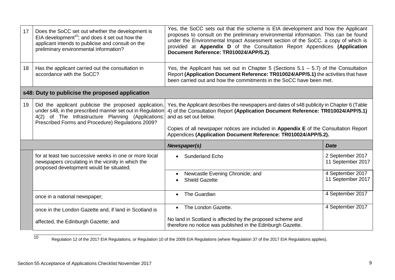| 17 | Does the SoCC set out whether the development is<br>EIA development <sup>10</sup> ; and does it set out how the<br>applicant intends to publicise and consult on the<br>preliminary environmental information?                | Yes, the SoCC sets out that the scheme is EIA development and how the Applicant<br>proposes to consult on the preliminary environmental information. This can be found<br>under the Environmental Impact Assessment section of the SoCC. a copy of which is<br>provided at Appendix D of the Consultation Report Appendices (Application<br>Document Reference: TR010024/APP/5.2). |                                       |  |
|----|-------------------------------------------------------------------------------------------------------------------------------------------------------------------------------------------------------------------------------|------------------------------------------------------------------------------------------------------------------------------------------------------------------------------------------------------------------------------------------------------------------------------------------------------------------------------------------------------------------------------------|---------------------------------------|--|
| 18 | Has the applicant carried out the consultation in<br>accordance with the SoCC?                                                                                                                                                | Yes, the Applicant has set out in Chapter 5 (Sections $5.1 - 5.7$ ) of the Consultation<br>Report (Application Document Reference: TR010024/APP/5.1) the activities that have<br>been carried out and how the commitments in the SoCC have been met.                                                                                                                               |                                       |  |
|    | s48: Duty to publicise the proposed application                                                                                                                                                                               |                                                                                                                                                                                                                                                                                                                                                                                    |                                       |  |
| 19 | Did the applicant publicise the proposed application,<br>under s48, in the prescribed manner set out in Regulation<br>4(2) of The Infrastructure Planning (Applications:<br>Prescribed Forms and Procedure) Regulations 2009? | Yes, the Applicant describes the newspapers and dates of s48 publicity in Chapter 6 (Table<br>4) of the Consultation Report (Application Document Reference: TR010024/APP/5.1)<br>and as set out below.<br>Copies of all newspaper notices are included in Appendix E of the Consultation Report<br>Appendices (Application Document Reference: TR010024/APP/5.2).                 |                                       |  |
|    |                                                                                                                                                                                                                               | Newspaper(s)<br><b>Date</b>                                                                                                                                                                                                                                                                                                                                                        |                                       |  |
|    | for at least two successive weeks in one or more local<br>newspapers circulating in the vicinity in which the<br>proposed development would be situated;                                                                      | <b>Sunderland Echo</b>                                                                                                                                                                                                                                                                                                                                                             | 2 September 2017<br>11 September 2017 |  |
|    |                                                                                                                                                                                                                               | Newcastle Evening Chronicle; and<br><b>Shield Gazette</b>                                                                                                                                                                                                                                                                                                                          | 4 September 2017<br>11 September 2017 |  |
|    | once in a national newspaper;                                                                                                                                                                                                 | The Guardian<br>$\bullet$                                                                                                                                                                                                                                                                                                                                                          | 4 September 2017                      |  |
|    | once in the London Gazette and, if land in Scotland is                                                                                                                                                                        | The London Gazette.<br>$\bullet$                                                                                                                                                                                                                                                                                                                                                   | 4 September 2017                      |  |
|    | affected, the Edinburgh Gazette; and                                                                                                                                                                                          | No land in Scotland is affected by the proposed scheme and<br>therefore no notice was published in the Edinburgh Gazette.                                                                                                                                                                                                                                                          |                                       |  |

Regulation 12 of the 2017 EIA Regulations, or Regulation 10 of the 2009 EIA Regulations (where Regulation 37 of the 2017 EIA Regulations applies).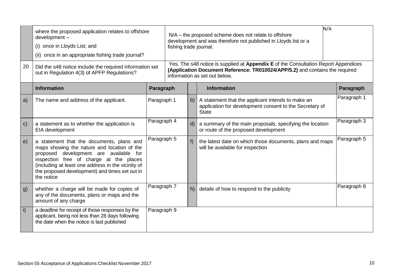| 20           | where the proposed application relates to offshore<br>development-<br>(i) once in Lloyds List; and<br>(ii) once in an appropriate fishing trade journal?<br>Did the s48 notice include the required information set<br>out in Regulation 4(3) of APFP Regulations?                                  |             | N/A<br>N/A – the proposed scheme does not relate to offshore<br>development and was therefore not published in Lloyds list or a<br>fishing trade journal.<br>Yes. The s48 notice is supplied at Appendix E of the Consultation Report Appendices<br>(Application Document Reference: TR010024/APP/5.2) and contains the required<br>information as set out below. |       |                                                                                                                              |             |  |
|--------------|-----------------------------------------------------------------------------------------------------------------------------------------------------------------------------------------------------------------------------------------------------------------------------------------------------|-------------|-------------------------------------------------------------------------------------------------------------------------------------------------------------------------------------------------------------------------------------------------------------------------------------------------------------------------------------------------------------------|-------|------------------------------------------------------------------------------------------------------------------------------|-------------|--|
|              | <b>Information</b>                                                                                                                                                                                                                                                                                  | Paragraph   |                                                                                                                                                                                                                                                                                                                                                                   |       | <b>Information</b>                                                                                                           | Paragraph   |  |
| a)           | The name and address of the applicant.                                                                                                                                                                                                                                                              | Paragraph 1 |                                                                                                                                                                                                                                                                                                                                                                   | b)    | A statement that the applicant intends to make an<br>application for development consent to the Secretary of<br><b>State</b> | Paragraph 1 |  |
| $\mathsf{C}$ | a statement as to whether the application is<br>EIA development                                                                                                                                                                                                                                     | Paragraph 4 |                                                                                                                                                                                                                                                                                                                                                                   | d)    | a summary of the main proposals, specifying the location<br>or route of the proposed development                             | Paragraph 3 |  |
| e)           | a statement that the documents, plans and<br>maps showing the nature and location of the<br>proposed development are available for<br>inspection free of charge at the places<br>(including at least one address in the vicinity of<br>the proposed development) and times set out in<br>the notice | Paragraph 5 |                                                                                                                                                                                                                                                                                                                                                                   | $f$ ) | the latest date on which those documents, plans and maps<br>will be available for inspection                                 | Paragraph 5 |  |
| g)           | whether a charge will be made for copies of<br>any of the documents, plans or maps and the<br>amount of any charge                                                                                                                                                                                  | Paragraph 7 |                                                                                                                                                                                                                                                                                                                                                                   | h)    | details of how to respond to the publicity                                                                                   | Paragraph 8 |  |
| i)           | a deadline for receipt of those responses by the<br>applicant, being not less than 28 days following<br>the date when the notice is last published                                                                                                                                                  | Paragraph 9 |                                                                                                                                                                                                                                                                                                                                                                   |       |                                                                                                                              |             |  |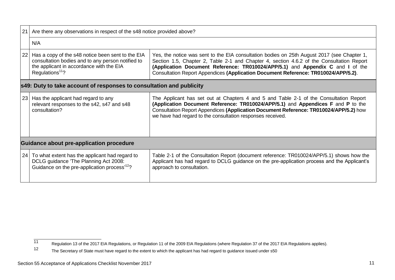| 21                                                                                                                                                                     | Are there any observations in respect of the s48 notice provided above?                                                                                                           |                                                                                                                                                                                                                                                                                                                                                                  |  |  |  |  |  |
|------------------------------------------------------------------------------------------------------------------------------------------------------------------------|-----------------------------------------------------------------------------------------------------------------------------------------------------------------------------------|------------------------------------------------------------------------------------------------------------------------------------------------------------------------------------------------------------------------------------------------------------------------------------------------------------------------------------------------------------------|--|--|--|--|--|
|                                                                                                                                                                        | N/A                                                                                                                                                                               |                                                                                                                                                                                                                                                                                                                                                                  |  |  |  |  |  |
| 22                                                                                                                                                                     | Has a copy of the s48 notice been sent to the EIA<br>consultation bodies and to any person notified to<br>the applicant in accordance with the EIA<br>Regulations <sup>11</sup> ? | Yes, the notice was sent to the EIA consultation bodies on 25th August 2017 (see Chapter 1,<br>Section 1.5, Chapter 2, Table 2-1 and Chapter 4, section 4.6.2 of the Consultation Report<br>(Application Document Reference: TR010024/APP/5.1) and Appendix C and I of the<br>Consultation Report Appendices (Application Document Reference: TR010024/APP/5.2). |  |  |  |  |  |
|                                                                                                                                                                        | s49: Duty to take account of responses to consultation and publicity                                                                                                              |                                                                                                                                                                                                                                                                                                                                                                  |  |  |  |  |  |
| 23<br>Has the applicant had regard to any<br>relevant responses to the s42, s47 and s48<br>consultation?<br>we have had regard to the consultation responses received. |                                                                                                                                                                                   | The Applicant has set out at Chapters 4 and 5 and Table 2-1 of the Consultation Report<br>(Application Document Reference: TR010024/APP/5.1) and Appendices F and P to the<br>Consultation Report Appendices (Application Document Reference: TR010024/APP/5.2) how                                                                                              |  |  |  |  |  |
|                                                                                                                                                                        | Guidance about pre-application procedure                                                                                                                                          |                                                                                                                                                                                                                                                                                                                                                                  |  |  |  |  |  |
| 24                                                                                                                                                                     | To what extent has the applicant had regard to<br>DCLG guidance 'The Planning Act 2008:<br>Guidance on the pre-application process <sup>12</sup> ?                                | Table 2-1 of the Consultation Report (document reference: TR010024/APP/5.1) shows how the<br>Applicant has had regard to DCLG guidance on the pre-application process and the Applicant's<br>approach to consultation.                                                                                                                                           |  |  |  |  |  |

Regulation 13 of the 2017 EIA Regulations, or Regulation 11 of the 2009 EIA Regulations (where Regulation 37 of the 2017 EIA Regulations applies).<br>The Secretary of State must have regard to the extent to which the applican

The Secretary of State must have regard to the extent to which the applicant has had regard to guidance issued under s50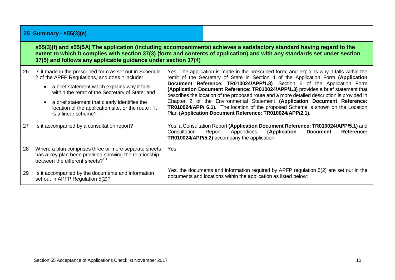|    | 25 Summary - s55(3)(e)                                                                                                                                                                                                                                                                                                                          |                                                                                                                                                                                                                                                                                                                                                                                                                                                                                                                                                                                                                                                                              |  |  |  |  |
|----|-------------------------------------------------------------------------------------------------------------------------------------------------------------------------------------------------------------------------------------------------------------------------------------------------------------------------------------------------|------------------------------------------------------------------------------------------------------------------------------------------------------------------------------------------------------------------------------------------------------------------------------------------------------------------------------------------------------------------------------------------------------------------------------------------------------------------------------------------------------------------------------------------------------------------------------------------------------------------------------------------------------------------------------|--|--|--|--|
|    | s55(3)(f) and s55(5A) The application (including accompaniments) achieves a satisfactory standard having regard to the<br>extent to which it complies with section 37(3) (form and contents of application) and with any standards set under section<br>37(5) and follows any applicable guidance under section 37(4)                           |                                                                                                                                                                                                                                                                                                                                                                                                                                                                                                                                                                                                                                                                              |  |  |  |  |
| 26 | Is it made in the prescribed form as set out in Schedule<br>2 of the APFP Regulations, and does it include:<br>a brief statement which explains why it falls<br>within the remit of the Secretary of State; and<br>a brief statement that clearly identifies the<br>location of the application site, or the route if it<br>is a linear scheme? | Yes. The application is made in the prescribed form, and explains why it falls within the<br>remit of the Secretary of State in Section 4 of the Application Form (Application<br>Document Reference: TR010024/APP/1.3). Section 6 of the Application Form<br>(Application Document Reference: TR010024/APP/1.3) provides a brief statement that<br>describes the location of the proposed route and a more detailed description is provided in<br>Chapter 2 of the Environmental Statement (Application Document Reference:<br>TR010024/APP/ 6.1). The location of the proposed Scheme is shown on the Location<br>Plan (Application Document Reference: TR010024/APP/2.1). |  |  |  |  |
| 27 | Is it accompanied by a consultation report?                                                                                                                                                                                                                                                                                                     | Yes, a Consultation Report (Application Document Reference: TR010024/APP/5.1) and<br>Report<br>Appendices<br>(Application<br>Consultation<br><b>Document</b><br>Reference:<br>TR010024/APP/5.2) accompany the application.                                                                                                                                                                                                                                                                                                                                                                                                                                                   |  |  |  |  |
| 28 | Where a plan comprises three or more separate sheets<br>has a key plan been provided showing the relationship<br>between the different sheets? <sup>13</sup>                                                                                                                                                                                    | <b>Yes</b>                                                                                                                                                                                                                                                                                                                                                                                                                                                                                                                                                                                                                                                                   |  |  |  |  |
| 29 | Is it accompanied by the documents and information<br>set out in APFP Regulation 5(2)?                                                                                                                                                                                                                                                          | Yes, the documents and information required by APFP regulation 5(2) are set out in the<br>documents and locations within the application as listed below:                                                                                                                                                                                                                                                                                                                                                                                                                                                                                                                    |  |  |  |  |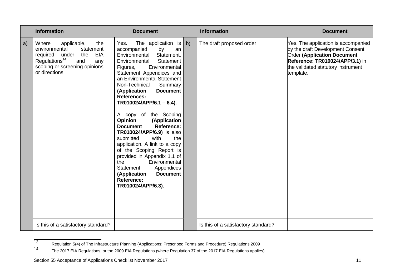|    | <b>Information</b>                                                                                                                                                                  | <b>Document</b>                                                                                                                                                                                                                                                                                                                                                                                                                                                                                                                                                                                                                                                                                             |    | <b>Information</b>                  | <b>Document</b>                                                                                                                                                                                     |
|----|-------------------------------------------------------------------------------------------------------------------------------------------------------------------------------------|-------------------------------------------------------------------------------------------------------------------------------------------------------------------------------------------------------------------------------------------------------------------------------------------------------------------------------------------------------------------------------------------------------------------------------------------------------------------------------------------------------------------------------------------------------------------------------------------------------------------------------------------------------------------------------------------------------------|----|-------------------------------------|-----------------------------------------------------------------------------------------------------------------------------------------------------------------------------------------------------|
| a) | Where<br>applicable,<br>the<br>environmental<br>statement<br>required under the<br>EIA<br>Regulations <sup>14</sup><br>and<br>any<br>scoping or screening opinions<br>or directions | The application is<br>Yes.<br>accompanied<br>by<br>an<br>Environmental Statement,<br>Environmental<br>Statement<br>Environmental<br>Figures,<br>Statement Appendices and<br>an Environmental Statement<br>Non-Technical<br>Summary<br>(Application<br><b>Document</b><br><b>References:</b><br>$TR010024/APP/6.1 - 6.4).$<br>A copy of the Scoping<br><b>Opinion</b><br>(Application<br>Reference:<br><b>Document</b><br>TR010024/APP/6.9) is also<br>the<br>submitted<br>with<br>application. A link to a copy<br>of the Scoping Report is<br>provided in Appendix 1.1 of<br>the<br>Environmental<br>Appendices<br>Statement<br><b>Document</b><br>(Application<br><b>Reference:</b><br>TR010024/APP/6.3). | b) | The draft proposed order            | Yes. The application is accompanied<br>by the draft Development Consent<br><b>Order (Application Document</b><br>Reference: TR010024/APP/3.1) in<br>the validated statutory instrument<br>template. |
|    | Is this of a satisfactory standard?                                                                                                                                                 |                                                                                                                                                                                                                                                                                                                                                                                                                                                                                                                                                                                                                                                                                                             |    | Is this of a satisfactory standard? |                                                                                                                                                                                                     |

Regulation 5(4) of The Infrastructure Planning (Applications: Prescribed Forms and Procedure) Regulations 2009<br>14 The 2017 EIA Pequlations or the 2009 EIA Pequlations (where Pequlation 27 of the 2017 EIA Pequlations applio

The 2017 EIA Regulations, or the 2009 EIA Regulations (where Regulation 37 of the 2017 EIA Regulations applies)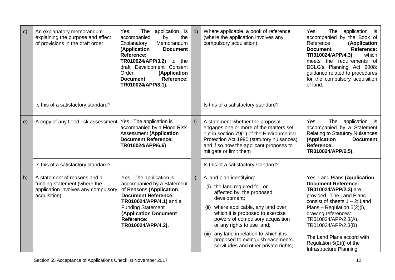| $\mathbf{C}$ | An explanatory memorandum<br>explaining the purpose and effect<br>of provisions in the draft order                  | Yes.<br>The<br>application is<br>by<br>the<br>accompanied<br>Memorandum<br>Explanatory<br>(Application<br><b>Document</b><br>Reference:<br>TR010024/APP/3.2)<br>to the<br>draft Development Consent<br>Order<br>(Application<br>Reference:<br><b>Document</b><br>TR010024/APP/3.1). | $\mathsf{d}$   | Where applicable, a book of reference<br>(where the application involves any<br>compulsory acquisition)                                                                                                                                                                                                                                                                               | Yes.<br>The<br>application is<br>accompanied by the Book of<br>Reference<br>(Application<br><b>Reference:</b><br><b>Document</b><br>TR010024/APP/4.3)<br>which<br>meets the requirements of<br>DCLG's Planning Act 2008:<br>guidance related to procedures<br>for the compulsory acquisition<br>of land.                                       |
|--------------|---------------------------------------------------------------------------------------------------------------------|-------------------------------------------------------------------------------------------------------------------------------------------------------------------------------------------------------------------------------------------------------------------------------------|----------------|---------------------------------------------------------------------------------------------------------------------------------------------------------------------------------------------------------------------------------------------------------------------------------------------------------------------------------------------------------------------------------------|------------------------------------------------------------------------------------------------------------------------------------------------------------------------------------------------------------------------------------------------------------------------------------------------------------------------------------------------|
|              | Is this of a satisfactory standard?                                                                                 |                                                                                                                                                                                                                                                                                     |                | Is this of a satisfactory standard?                                                                                                                                                                                                                                                                                                                                                   |                                                                                                                                                                                                                                                                                                                                                |
| e)           | A copy of any flood risk assessment                                                                                 | Yes. The application is<br>accompanied by a Flood Risk<br><b>Assessment (Application</b><br><b>Document Reference:</b><br>TR010024/APP/6.6)                                                                                                                                         |                | A statement whether the proposal<br>engages one or more of the matters set<br>out in section 79(1) of the Environmental<br>Protection Act 1990 (statutory nuisances)<br>and if so how the applicant proposes to<br>mitigate or limit them                                                                                                                                             | Yes.<br>The<br>application is<br>accompanied by a Statement<br><b>Relating to Statutory Nuisances</b><br>(Application<br><b>Document</b><br><b>Reference:</b><br>TR010024/APP/6.5).                                                                                                                                                            |
|              | Is this of a satisfactory standard?                                                                                 |                                                                                                                                                                                                                                                                                     |                | Is this of a satisfactory standard?                                                                                                                                                                                                                                                                                                                                                   |                                                                                                                                                                                                                                                                                                                                                |
| h)           | A statement of reasons and a<br>funding statement (where the<br>application involves any compulsory<br>acquisition) | Yes. The application is<br>accompanied by a Statement<br>of Reasons (Application<br><b>Document Reference:</b><br>TR010024/APP/4.1) and a<br><b>Funding Statement</b><br><b>(Application Document</b><br><b>Reference:</b><br>TR010024/APP/4.2).                                    | $\mathsf{i}$ ) | A land plan identifying:-<br>(i) the land required for, or<br>affected by, the proposed<br>development;<br>where applicable, any land over<br>(ii)<br>which it is proposed to exercise<br>powers of compulsory acquisition<br>or any rights to use land;<br>any land in relation to which it is<br>(iii)<br>proposed to extinguish easements,<br>servitudes and other private rights; | Yes. Land Plans (Application<br><b>Document Reference:</b><br>TR010024/APP/2.3) are<br>provided. The Land Plans<br>consist of sheets $1 - 2$ ; Land<br>Plans - Regulation 5(2)(i),<br>drawing references:<br>TR010024/APP/2.3(A),<br>TR010024/APP/2.3(B)<br>The Land Plans accord with<br>Regulation 5(2)(i) of the<br>Infrastructure Planning |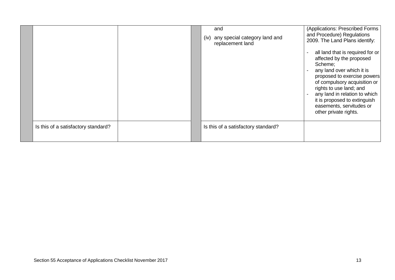|                                     | (iv) | and<br>any special category land and<br>replacement land | (Applications: Prescribed Forms<br>and Procedure) Regulations<br>2009. The Land Plans identify:                                                                                                                                                                                                                      |
|-------------------------------------|------|----------------------------------------------------------|----------------------------------------------------------------------------------------------------------------------------------------------------------------------------------------------------------------------------------------------------------------------------------------------------------------------|
|                                     |      |                                                          | all land that is required for or<br>affected by the proposed<br>Scheme;<br>any land over which it is<br>proposed to exercise powers<br>of compulsory acquisition or<br>rights to use land; and<br>any land in relation to which<br>it is proposed to extinguish<br>easements, servitudes or<br>other private rights. |
| Is this of a satisfactory standard? |      | Is this of a satisfactory standard?                      |                                                                                                                                                                                                                                                                                                                      |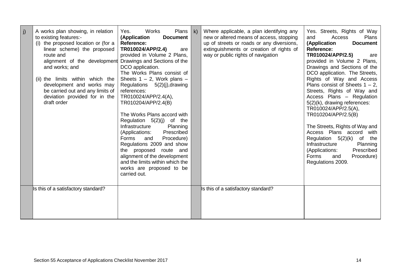| j) | A works plan showing, in relation<br>to existing features:-<br>(i) the proposed location or (for a<br>linear scheme) the proposed<br>route and<br>alignment of the development Drawings and Sections of the<br>and works; and<br>(ii) the limits within which the<br>development and works may<br>be carried out and any limits of<br>deviation provided for in the<br>draft order | Works<br>Plans  <br>Yes.<br>(Application<br><b>Document</b><br><b>Reference:</b><br>TR010024/APP/2.4)<br>are<br>provided in Volume 2 Plans,<br>DCO application.<br>The Works Plans consist of<br>Sheets $1 - 2$ , Work plans $-$<br>Regulations 5(2)(j), drawing<br>references:<br>TR010024/APP/2.4(A),<br>TR010204/APP/2.4(B)<br>The Works Plans accord with<br>Regulation $5(2)(j)$ of the<br>Infrastructure<br>Planning<br>(Applications:<br>Prescribed<br>Procedure)<br>Forms<br>and<br>Regulations 2009 and show<br>the proposed route and<br>alignment of the development<br>and the limits within which the<br>works are proposed to be<br>carried out. | k) | Where applicable, a plan identifying any<br>new or altered means of access, stopping<br>up of streets or roads or any diversions,<br>extinguishments or creation of rights of<br>way or public rights of navigation | Yes. Streets, Rights of Way<br>Access<br><b>Plans</b><br>and<br>(Application<br><b>Document</b><br>Reference:<br>TR010024/APP/2.5)<br>are<br>provided in Volume 2 Plans,<br>Drawings and Sections of the<br>DCO application. The Streets,<br>Rights of Way and Access<br>Plans consist of Sheets $1 - 2$ ,<br>Streets, Rights of Way and<br>Access Plans - Regulation<br>$5(2)(k)$ , drawing references:<br>TR010024/APP/2.5(A),<br>TR010204/APP/2.5(B)<br>The Streets, Rights of Way and<br>Access Plans accord with<br>Regulation 5(2)(k)<br>of<br>the<br>Infrastructure<br>Planning<br>Prescribed<br>(Applications:<br>Forms<br>and<br>Procedure)<br>Regulations 2009. |
|----|------------------------------------------------------------------------------------------------------------------------------------------------------------------------------------------------------------------------------------------------------------------------------------------------------------------------------------------------------------------------------------|----------------------------------------------------------------------------------------------------------------------------------------------------------------------------------------------------------------------------------------------------------------------------------------------------------------------------------------------------------------------------------------------------------------------------------------------------------------------------------------------------------------------------------------------------------------------------------------------------------------------------------------------------------------|----|---------------------------------------------------------------------------------------------------------------------------------------------------------------------------------------------------------------------|---------------------------------------------------------------------------------------------------------------------------------------------------------------------------------------------------------------------------------------------------------------------------------------------------------------------------------------------------------------------------------------------------------------------------------------------------------------------------------------------------------------------------------------------------------------------------------------------------------------------------------------------------------------------------|
|    | Is this of a satisfactory standard?                                                                                                                                                                                                                                                                                                                                                |                                                                                                                                                                                                                                                                                                                                                                                                                                                                                                                                                                                                                                                                |    | Is this of a satisfactory standard?                                                                                                                                                                                 |                                                                                                                                                                                                                                                                                                                                                                                                                                                                                                                                                                                                                                                                           |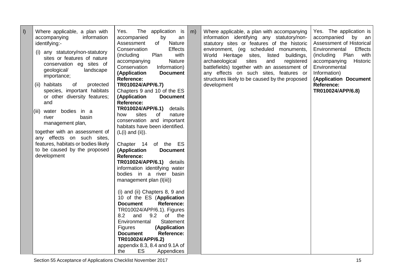| I) | Where applicable, a plan with<br>accompanying<br>information<br>identifying:-<br>(i) any statutory/non-statutory<br>sites or features of nature<br>conservation eg sites of<br>geological/<br>landscape<br>importance;<br>(ii) habitats<br>of<br>protected<br>species, important habitats<br>or other diversity features;<br>and<br>(iii) water<br>bodies in a<br>basin<br>river | The application is<br>Yes.<br>accompanied<br>by<br>an<br><b>Nature</b><br>Assessment<br>of<br>Conservation<br><b>Effects</b><br>Plan<br>with<br>(including<br><b>Nature</b><br>accompanying<br>Information)<br>Conservation<br>(Application<br><b>Document</b><br><b>Reference:</b><br>TR010024/APP/6.7)<br>Chapters 9 and 10 of the ES<br>(Application<br><b>Document</b><br><b>Reference:</b><br><b>TR010024/APP/6.1)</b> details<br>sites<br>of<br>how<br>nature                                                                                                                                                                                                      | $\mid$ m) | Where applicable, a plan with accompanying<br>information identifying any statutory/non-<br>statutory sites or features of the historic<br>environment, (eg scheduled monuments,<br>World Heritage sites,<br>listed<br>buildings,<br>archaeological<br>sites<br>registered<br>and<br>battlefields) together with an assessment of<br>any effects on such sites, features or<br>structures likely to be caused by the proposed<br>development | Yes. The application is<br>accompanied<br>by an<br>Assessment of Historical<br>Environmental<br><b>Effects</b><br>(including<br>Plan<br>with<br>Historic<br>accompanying<br>Environmental<br>Information)<br>(Application Document<br><b>Reference:</b><br>TR010024/APP/6.8) |  |
|----|----------------------------------------------------------------------------------------------------------------------------------------------------------------------------------------------------------------------------------------------------------------------------------------------------------------------------------------------------------------------------------|--------------------------------------------------------------------------------------------------------------------------------------------------------------------------------------------------------------------------------------------------------------------------------------------------------------------------------------------------------------------------------------------------------------------------------------------------------------------------------------------------------------------------------------------------------------------------------------------------------------------------------------------------------------------------|-----------|----------------------------------------------------------------------------------------------------------------------------------------------------------------------------------------------------------------------------------------------------------------------------------------------------------------------------------------------------------------------------------------------------------------------------------------------|------------------------------------------------------------------------------------------------------------------------------------------------------------------------------------------------------------------------------------------------------------------------------|--|
|    | management plan,<br>together with an assessment of<br>any effects on such sites,<br>features, habitats or bodies likely<br>to be caused by the proposed<br>development                                                                                                                                                                                                           | conservation and important<br>habitats have been identified.<br>$(L(i)$ and $(ii)$ ).<br>Chapter 14 of the ES<br>(Application<br><b>Document</b><br><b>Reference:</b><br>TR010024/APP/6.1) details<br>information identifying water<br>bodies in a river basin<br>management plan (I(iii))<br>(i) and (ii) Chapters 8, 9 and<br>10 of the ES (Application<br><b>Document</b><br><b>Reference:</b><br>TR010024/APP/6.1). Figures<br>8.2<br>and<br>9.2<br>of<br>the<br><b>Statement</b><br>Environmental<br>(Application<br><b>Figures</b><br><b>Reference:</b><br><b>Document</b><br>TR010024/APP/6.2)<br>appendix $8.3$ , $8.4$ and $9.1A$ of<br>ES<br>the<br>Appendices |           |                                                                                                                                                                                                                                                                                                                                                                                                                                              |                                                                                                                                                                                                                                                                              |  |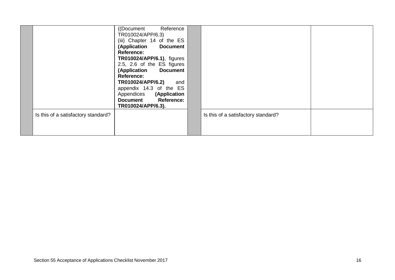|                                     | ((Document Reference)<br>TR010024/APP/6.3)<br>(iii) Chapter 14 of the ES<br>(Application Document<br>Reference:<br><b>TR010024/APP/6.1), figures</b><br>2.5, 2.6 of the ES figures<br>(Application Document<br>Reference:<br>TR010024/APP/6.2)<br>and<br>appendix 14.3 of the ES<br>Appendices (Application<br>Document Reference:<br>TR010024/APP/6.3). |                                     |  |
|-------------------------------------|----------------------------------------------------------------------------------------------------------------------------------------------------------------------------------------------------------------------------------------------------------------------------------------------------------------------------------------------------------|-------------------------------------|--|
| Is this of a satisfactory standard? |                                                                                                                                                                                                                                                                                                                                                          | Is this of a satisfactory standard? |  |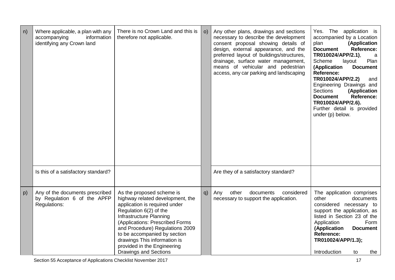| n) | Where applicable, a plan with any<br>accompanying<br>information<br>identifying any Crown land | There is no Crown Land and this is<br>therefore not applicable.                                                                                                                                                                                                                                                                                          | $\circ$ ) | Any other plans, drawings and sections<br>necessary to describe the development<br>consent proposal showing details of<br>design, external appearance, and the<br>preferred layout of buildings/structures,<br>drainage, surface water management,<br>means of vehicular and pedestrian<br>access, any car parking and landscaping | Yes. The application is<br>accompanied by a Location<br>plan<br>(Application<br>Reference:<br><b>Document</b><br>TR010024/APP/2.1),<br>a<br>Plan<br>Scheme<br>layout<br>(Application<br><b>Document</b><br>Reference:<br>TR010024/APP/2.2)<br>and<br>Engineering Drawings and<br><b>Sections</b><br>(Application<br><b>Reference:</b><br><b>Document</b><br>TR010024/APP/2.6).<br>Further detail is provided<br>under (p) below. |
|----|------------------------------------------------------------------------------------------------|----------------------------------------------------------------------------------------------------------------------------------------------------------------------------------------------------------------------------------------------------------------------------------------------------------------------------------------------------------|-----------|------------------------------------------------------------------------------------------------------------------------------------------------------------------------------------------------------------------------------------------------------------------------------------------------------------------------------------|----------------------------------------------------------------------------------------------------------------------------------------------------------------------------------------------------------------------------------------------------------------------------------------------------------------------------------------------------------------------------------------------------------------------------------|
|    | Is this of a satisfactory standard?                                                            |                                                                                                                                                                                                                                                                                                                                                          |           | Are they of a satisfactory standard?                                                                                                                                                                                                                                                                                               |                                                                                                                                                                                                                                                                                                                                                                                                                                  |
| p) | Any of the documents prescribed<br>by Regulation 6 of the APFP<br>Regulations:                 | As the proposed scheme is<br>highway related development, the<br>application is required under<br>Regulation 6(2) of the<br>Infrastructure Planning<br>(Applications: Prescribed Forms<br>and Procedure) Regulations 2009<br>to be accompanied by section<br>drawings This information is<br>provided in the Engineering<br><b>Drawings and Sections</b> | q)        | other<br>documents<br>considered<br>Any<br>necessary to support the application.                                                                                                                                                                                                                                                   | The application comprises<br>other<br>documents<br>considered necessary to<br>support the application, as<br>listed in Section 23 of the<br>Application<br>Form<br>(Application<br><b>Document</b><br><b>Reference:</b><br>TR010024/APP/1.3);<br>Introduction<br>the<br>to                                                                                                                                                       |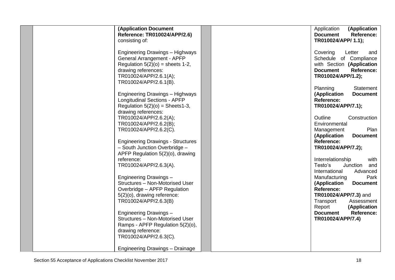| <b>(Application Document</b><br>Reference: TR010024/APP/2.6) | Application<br>(Application<br><b>Document</b><br><b>Reference:</b> |
|--------------------------------------------------------------|---------------------------------------------------------------------|
| consisting of:                                               | TR010024/APP/ 1.1);                                                 |
| Engineering Drawings - Highways                              | Covering<br>Letter<br>and                                           |
| General Arrangement - APFP                                   | Schedule of Compliance                                              |
| Regulation $5(2)(o)$ = sheets 1-2,<br>drawing references:    | with Section (Application<br><b>Document</b><br><b>Reference:</b>   |
| TR010024/APP/2.6.1(A);                                       | TR010024/APP/1.2);                                                  |
| TR010024/APP/2.6.1(B).                                       |                                                                     |
|                                                              | Planning<br>Statement                                               |
| <b>Engineering Drawings - Highways</b>                       | <b>Document</b><br>(Application                                     |
| <b>Longitudinal Sections - APFP</b>                          | Reference:                                                          |
| Regulation $5(2)(o)$ = Sheets1-3,<br>drawing references:     | TR010024/APP/7.1);                                                  |
| TR010024/APP/2.6.2(A);                                       | Outline<br>Construction                                             |
| TR010024/APP/2.6.2(B);                                       | Environmental                                                       |
| TR010024/APP/2.6.2(C).                                       | Plan<br>Management                                                  |
|                                                              | (Application<br><b>Document</b>                                     |
| <b>Engineering Drawings - Structures</b>                     | Reference:                                                          |
| - South Junction Overbridge -                                | TR010024/APP/7.2);                                                  |
| APFP Regulation 5(2)(o), drawing                             |                                                                     |
| reference:                                                   | Interrelationship<br>with                                           |
| TR010024/APP/2.6.3(A).                                       | Junction<br>Testo's<br>and                                          |
|                                                              | Advanced<br>International                                           |
| Engineering Drawings -                                       | Manufacturing<br>Park                                               |
| Structures - Non-Motorised User                              | (Application<br><b>Document</b>                                     |
| Overbridge - APFP Regulation                                 | Reference:                                                          |
| 5(2)(o), drawing reference:<br>TR010024/APP/2.6.3(B)         | TR010024/APP/7.3) and<br>Transport<br>Assessment                    |
|                                                              | Report<br>(Application                                              |
| Engineering Drawings -                                       | <b>Reference:</b><br><b>Document</b>                                |
| Structures - Non-Motorised User                              | TR010024/APP/7.4)                                                   |
| Ramps - APFP Regulation 5(2)(o),                             |                                                                     |
| drawing reference:                                           |                                                                     |
| TR010024/APP/2.6.3(C).                                       |                                                                     |
| Engineering Drawings - Drainage                              |                                                                     |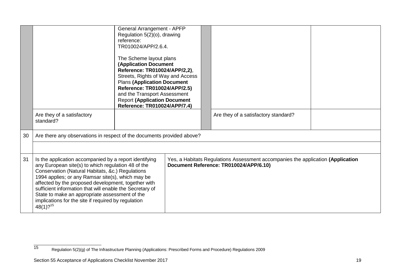|    |                                                                                                                                                                                                                                                                                                                                                                                                                                                                              | <b>General Arrangement - APFP</b><br>Regulation 5(2)(o), drawing<br>reference:<br>TR010024/APP/2.6.4.<br>The Scheme layout plans<br><b>(Application Document</b><br>Reference: TR010024/APP/2,2),<br>Streets, Rights of Way and Access<br><b>Plans (Application Document</b><br>Reference: TR010024/APP/2.5)<br>and the Transport Assessment<br><b>Report (Application Document</b><br>Reference: TR010024/APP/7.4) |                                                                                                                           |  |
|----|------------------------------------------------------------------------------------------------------------------------------------------------------------------------------------------------------------------------------------------------------------------------------------------------------------------------------------------------------------------------------------------------------------------------------------------------------------------------------|---------------------------------------------------------------------------------------------------------------------------------------------------------------------------------------------------------------------------------------------------------------------------------------------------------------------------------------------------------------------------------------------------------------------|---------------------------------------------------------------------------------------------------------------------------|--|
|    | Are they of a satisfactory<br>standard?                                                                                                                                                                                                                                                                                                                                                                                                                                      |                                                                                                                                                                                                                                                                                                                                                                                                                     | Are they of a satisfactory standard?                                                                                      |  |
| 30 | Are there any observations in respect of the documents provided above?                                                                                                                                                                                                                                                                                                                                                                                                       |                                                                                                                                                                                                                                                                                                                                                                                                                     |                                                                                                                           |  |
|    |                                                                                                                                                                                                                                                                                                                                                                                                                                                                              |                                                                                                                                                                                                                                                                                                                                                                                                                     |                                                                                                                           |  |
| 31 | Is the application accompanied by a report identifying<br>any European site(s) to which regulation 48 of the<br>Conservation (Natural Habitats, &c.) Regulations<br>1994 applies; or any Ramsar site(s), which may be<br>affected by the proposed development, together with<br>sufficient information that will enable the Secretary of<br>State to make an appropriate assessment of the<br>implications for the site if required by regulation<br>$48(1)$ ? <sup>15</sup> |                                                                                                                                                                                                                                                                                                                                                                                                                     | Yes, a Habitats Regulations Assessment accompanies the application (Application<br>Document Reference: TR010024/APP/6.10) |  |

Regulation 5(2)(g) of The Infrastructure Planning (Applications: Prescribed Forms and Procedure) Regulations 2009